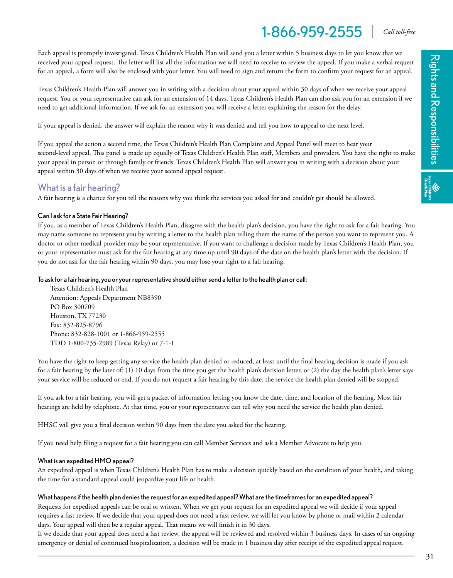# 1-866-959-2555 *Call toll-free*

Each appeal is promptly investigated. Texas Children's Health Plan will send you a letter within 5 business days to let you know that we received your appeal request. The letter will list all the information we will need to receive to review the appeal. If you make a verbal request for an appeal, a form will also be enclosed with your letter. You will need to sign and return the form to confirm your request for an appeal.

Texas Children's Health Plan will answer you in writing with a decision about your appeal within 30 days of when we receive your appeal request. You or your representative can ask for an extension of 14 days. Texas Children's Health Plan can also ask you for an extension if we need to get additional information. If we ask for an extension you will receive a letter explaining the reason for the delay.

If your appeal is denied, the answer will explain the reason why it was denied and tell you how to appeal to the next level.

If you appeal the action a second time, the Texas Children's Health Plan Complaint and Appeal Panel will meet to hear your second-level appeal. This panel is made up equally of Texas Children's Health Plan staff, Members and providers. You have the right to make your appeal in person or through family or friends. Texas Children's Health Plan will answer you in writing with a decision about your appeal within 30 days of when we receive your second appeal request.

### What is a fair hearing?

A fair hearing is a chance for you tell the reasons why you think the services you asked for and couldn't get should be allowed.

#### Can I ask for a State Fair Hearing?

If you, as a member of Texas Children's Health Plan, disagree with the health plan's decision, you have the right to ask for a fair hearing. You may name someone to represent you by writing a letter to the health plan telling them the name of the person you want to represent you. A doctor or other medical provider may be your representative. If you want to challenge a decision made by Texas Children's Health Plan, you or your representative must ask for the fair hearing at any time up until 90 days of the date on the health plan's letter with the decision. If you do not ask for the fair hearing within 90 days, you may lose your right to a fair hearing.

#### To ask for a fair hearing, you or your representative should either send a letter to the health plan or call:

Texas Children's Health Plan Attention: Appeals Department NB8390 PO Box 300709 Houston, TX 77230 Fax: 832-825-8796 Phone: 832-828-1001 or 1-866-959-2555 TDD 1-800-735-2989 (Texas Relay) or 7-1-1

You have the right to keep getting any service the health plan denied or reduced, at least until the final hearing decision is made if you ask for a fair hearing by the later of: (1) 10 days from the time you get the health plan's decision letter, or (2) the day the health plan's letter says your service will be reduced or end. If you do not request a fair hearing by this date, the service the health plan denied will be stopped.

If you ask for a fair hearing, you will get a packet of information letting you know the date, time, and location of the hearing. Most fair hearings are held by telephone. At that time, you or your representative can tell why you need the service the health plan denied.

HHSC will give you a final decision within 90 days from the date you asked for the hearing.

If you need help filing a request for a fair hearing you can call Member Services and ask a Member Advocate to help you.

#### What is an expedited HMO appeal?

An expedited appeal is when Texas Children's Health Plan has to make a decision quickly based on the condition of your health, and taking the time for a standard appeal could jeopardize your life or health.

#### What happens if the health plan denies the request for an expedited appeal? What are the timeframes for an expedited appeal?

Requests for expedited appeals can be oral or written. When we get your request for an expedited appeal we will decide if your appeal requires a fast review. If we decide that your appeal does not need a fast review, we will let you know by phone or mail within 2 calendar days. Your appeal will then be a regular appeal. That means we will finish it in 30 days.

If we decide that your appeal does need a fast review, the appeal will be reviewed and resolved within 3 business days. In cases of an ongoing emergency or denial of continued hospitalization, a decision will be made in 1 business day after receipt of the expedited appeal request.